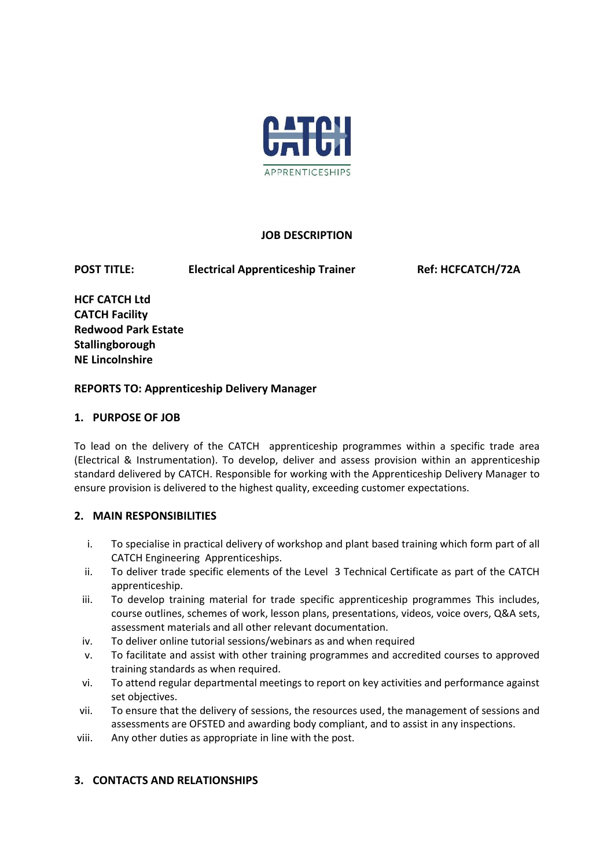

# **JOB DESCRIPTION**

POST TITLE: Electrical Apprenticeship Trainer Ref: HCFCATCH/72A

**HCF CATCH Ltd CATCH Facility Redwood Park Estate Stallingborough NE Lincolnshire** 

# **REPORTS TO: Apprenticeship Delivery Manager**

# **1. PURPOSE OF JOB**

To lead on the delivery of the CATCH apprenticeship programmes within a specific trade area (Electrical & Instrumentation). To develop, deliver and assess provision within an apprenticeship standard delivered by CATCH. Responsible for working with the Apprenticeship Delivery Manager to ensure provision is delivered to the highest quality, exceeding customer expectations.

# **2. MAIN RESPONSIBILITIES**

- i. To specialise in practical delivery of workshop and plant based training which form part of all CATCH Engineering Apprenticeships.
- ii. To deliver trade specific elements of the Level 3 Technical Certificate as part of the CATCH apprenticeship.
- iii. To develop training material for trade specific apprenticeship programmes This includes, course outlines, schemes of work, lesson plans, presentations, videos, voice overs, Q&A sets, assessment materials and all other relevant documentation.
- iv. To deliver online tutorial sessions/webinars as and when required
- v. To facilitate and assist with other training programmes and accredited courses to approved training standards as when required.
- vi. To attend regular departmental meetings to report on key activities and performance against set objectives.
- vii. To ensure that the delivery of sessions, the resources used, the management of sessions and assessments are OFSTED and awarding body compliant, and to assist in any inspections.
- viii. Any other duties as appropriate in line with the post.

# **3. CONTACTS AND RELATIONSHIPS**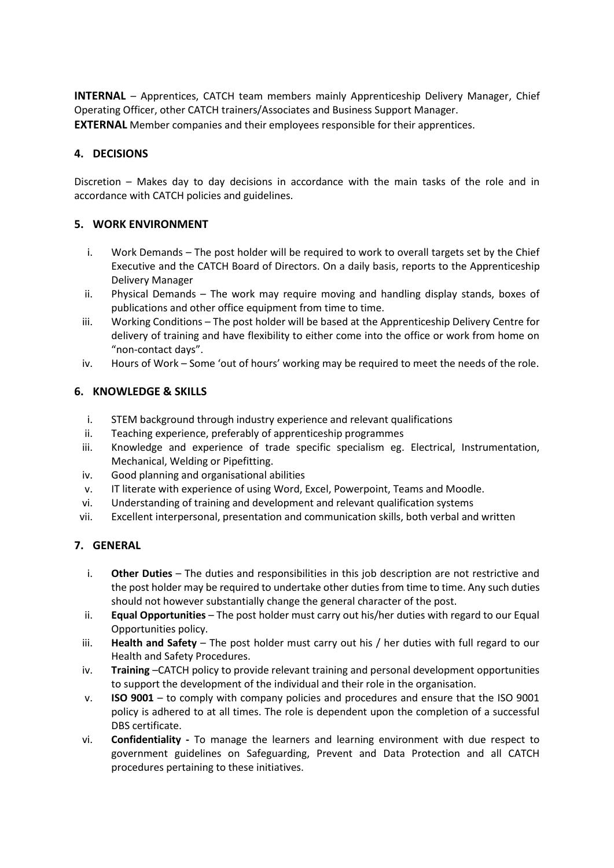**INTERNAL** – Apprentices, CATCH team members mainly Apprenticeship Delivery Manager, Chief Operating Officer, other CATCH trainers/Associates and Business Support Manager. **EXTERNAL** Member companies and their employees responsible for their apprentices.

# **4. DECISIONS**

Discretion – Makes day to day decisions in accordance with the main tasks of the role and in accordance with CATCH policies and guidelines.

### **5. WORK ENVIRONMENT**

- i. Work Demands The post holder will be required to work to overall targets set by the Chief Executive and the CATCH Board of Directors. On a daily basis, reports to the Apprenticeship Delivery Manager
- ii. Physical Demands The work may require moving and handling display stands, boxes of publications and other office equipment from time to time.
- iii. Working Conditions The post holder will be based at the Apprenticeship Delivery Centre for delivery of training and have flexibility to either come into the office or work from home on "non-contact days".
- iv. Hours of Work Some 'out of hours' working may be required to meet the needs of the role.

# **6. KNOWLEDGE & SKILLS**

- i. STEM background through industry experience and relevant qualifications
- ii. Teaching experience, preferably of apprenticeship programmes
- iii. Knowledge and experience of trade specific specialism eg. Electrical, Instrumentation, Mechanical, Welding or Pipefitting.
- iv. Good planning and organisational abilities
- v. IT literate with experience of using Word, Excel, Powerpoint, Teams and Moodle.
- vi. Understanding of training and development and relevant qualification systems
- vii. Excellent interpersonal, presentation and communication skills, both verbal and written

### **7. GENERAL**

- i. **Other Duties** The duties and responsibilities in this job description are not restrictive and the post holder may be required to undertake other duties from time to time. Any such duties should not however substantially change the general character of the post.
- ii. **Equal Opportunities** The post holder must carry out his/her duties with regard to our Equal Opportunities policy.
- iii. **Health and Safety** The post holder must carry out his / her duties with full regard to our Health and Safety Procedures.
- iv. **Training** –CATCH policy to provide relevant training and personal development opportunities to support the development of the individual and their role in the organisation.
- v. **ISO 9001** to comply with company policies and procedures and ensure that the ISO 9001 policy is adhered to at all times. The role is dependent upon the completion of a successful DBS certificate.
- vi. **Confidentiality -** To manage the learners and learning environment with due respect to government guidelines on Safeguarding, Prevent and Data Protection and all CATCH procedures pertaining to these initiatives.